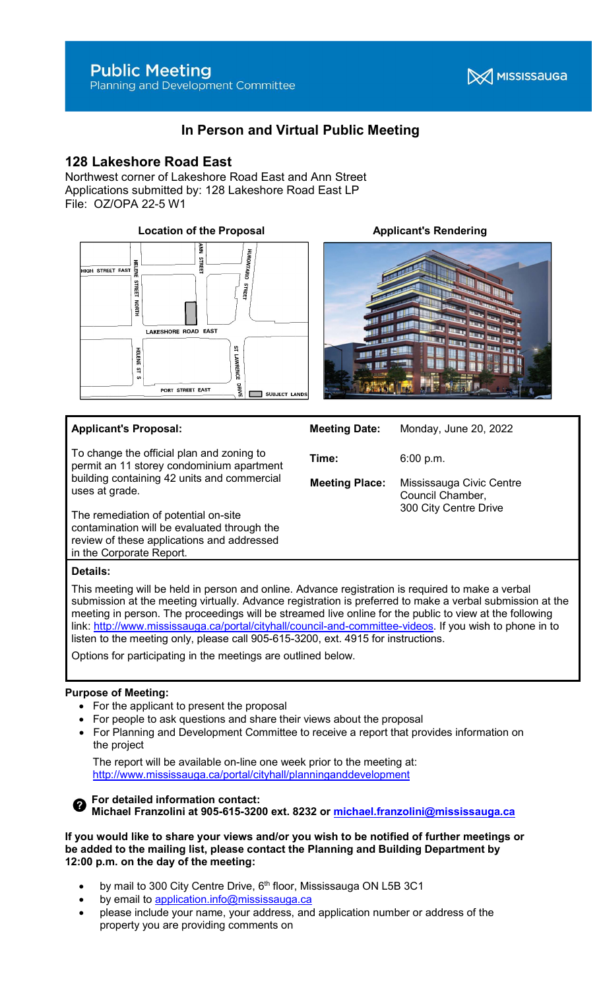**X** MISSISSAUGA

# In Person and Virtual Public Meeting

## 128 Lakeshore Road East

Northwest corner of Lakeshore Road East and Ann Street Applications submitted by: 128 Lakeshore Road East LP File: OZ/OPA 22-5 W1





#### Applicant's Proposal:

To change the official plan and zoning to permit an 11 storey condominium apartment building containing 42 units and commercial uses at grade.

The remediation of potential on-site contamination will be evaluated through the review of these applications and addressed in the Corporate Report.

Time: 6:00 p.m. Meeting Place: Mississauga Civic Centre Council Chamber, 300 City Centre Drive

Meeting Date: Monday, June 20, 2022

#### Details:

This meeting will be held in person and online. Advance registration is required to make a verbal submission at the meeting virtually. Advance registration is preferred to make a verbal submission at the meeting in person. The proceedings will be streamed live online for the public to view at the following link: http://www.mississauga.ca/portal/cityhall/council-and-committee-videos. If you wish to phone in to listen to the meeting only, please call 905-615-3200, ext. 4915 for instructions.

Options for participating in the meetings are outlined below.

### Purpose of Meeting:

- For the applicant to present the proposal
- For people to ask questions and share their views about the proposal
- For Planning and Development Committee to receive a report that provides information on the project

 The report will be available on-line one week prior to the meeting at: http://www.mississauga.ca/portal/cityhall/planninganddevelopment



For detailed information contact: Michael Franzolini at 905-615-3200 ext. 8232 or michael.franzolini@mississauga.ca

#### If you would like to share your views and/or you wish to be notified of further meetings or be added to the mailing list, please contact the Planning and Building Department by 12:00 p.m. on the day of the meeting:

- by mail to 300 City Centre Drive, 6<sup>th</sup> floor, Mississauga ON L5B 3C1
- by email to application.info@mississauga.ca
- please include your name, your address, and application number or address of the property you are providing comments on